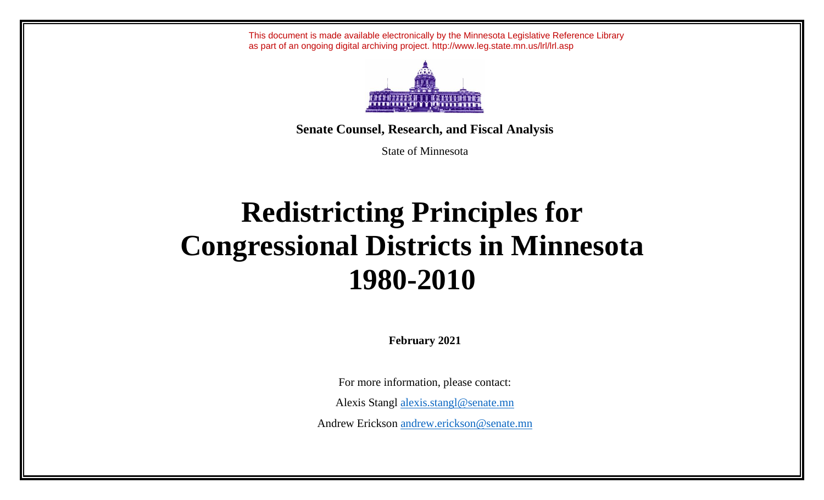This document is made available electronically by the Minnesota Legislative Reference Library as part of an ongoing digital archiving project. http://www.leg.state.mn.us/lrl/lrl.asp



**Senate Counsel, Research, and Fiscal Analysis**

State of Minnesota

## **Redistricting Principles for Congressional Districts in Minnesota 1980-2010**

**February 2021**

For more information, please contact:

Alexis Stangl alexis.stangl@senate.mn

Andrew Erickson andrew.erickson@senate.mn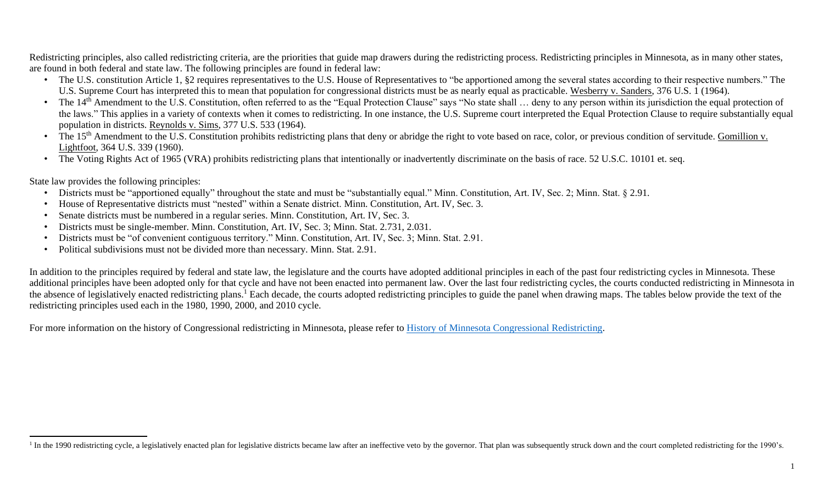Redistricting principles, also called redistricting criteria, are the priorities that guide map drawers during the redistricting process. Redistricting principles in Minnesota, as in many other states, are found in both federal and state law. The following principles are found in federal law:

- The U.S. constitution Article 1, §2 requires representatives to the U.S. House of Representatives to "be apportioned among the several states according to their respective numbers." The U.S. Supreme Court has interpreted this to mean that population for congressional districts must be as nearly equal as practicable. Wesberry v. Sanders, 376 U.S. 1 (1964).
- The 14<sup>th</sup> Amendment to the U.S. Constitution, often referred to as the "Equal Protection Clause" says "No state shall ... deny to any person within its jurisdiction the equal protection of the laws." This applies in a variety of contexts when it comes to redistricting. In one instance, the U.S. Supreme court interpreted the Equal Protection Clause to require substantially equal population in districts. Reynolds v. Sims, 377 U.S. 533 (1964).
- The 15<sup>th</sup> Amendment to the U.S. Constitution prohibits redistricting plans that deny or abridge the right to vote based on race, color, or previous condition of servitude. Gomillion v. Lightfoot, 364 U.S. 339 (1960).
- The Voting Rights Act of 1965 (VRA) prohibits redistricting plans that intentionally or inadvertently discriminate on the basis of race. 52 U.S.C. 10101 et. seq.

State law provides the following principles:

- Districts must be "apportioned equally" throughout the state and must be "substantially equal." Minn. Constitution, Art. IV, Sec. 2; Minn. Stat. § 2.91.
- House of Representative districts must "nested" within a Senate district. Minn. Constitution, Art. IV, Sec. 3.
- Senate districts must be numbered in a regular series. Minn. Constitution, Art. IV, Sec. 3.
- Districts must be single-member. Minn. Constitution, Art. IV, Sec. 3; Minn. Stat. 2.731, 2.031.
- Districts must be "of convenient contiguous territory." Minn. Constitution, Art. IV, Sec. 3; Minn. Stat. 2.91.
- Political subdivisions must not be divided more than necessary. Minn. Stat. 2.91.

In addition to the principles required by federal and state law, the legislature and the courts have adopted additional principles in each of the past four redistricting cycles in Minnesota. These additional principles have been adopted only for that cycle and have not been enacted into permanent law. Over the last four redistricting cycles, the courts conducted redistricting in Minnesota in the absence of legislatively enacted redistricting plans.<sup>1</sup> Each decade, the courts adopted redistricting principles to guide the panel when drawing maps. The tables below provide the text of the redistricting principles used each in the 1980, 1990, 2000, and 2010 cycle.

For more information on the history of Congressional redistricting in Minnesota, please refer to [History of Minnesota Congressional Redistricting.](https://www.gis.leg.mn/html/history_of_congressional_redistricting.pdf)

<sup>&</sup>lt;sup>1</sup> In the 1990 redistricting cycle, a legislatively enacted plan for legislative districts became law after an ineffective veto by the governor. That plan was subsequently struck down and the court completed redistricting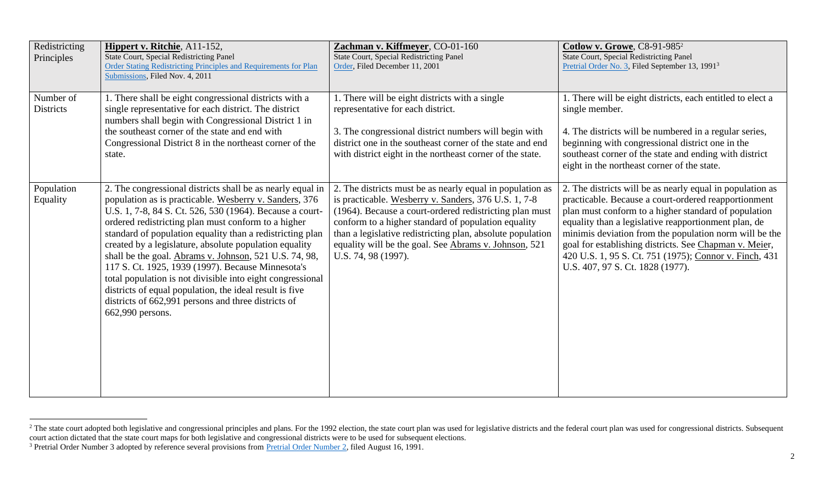| Redistricting<br>Principles   | Hippert v. Ritchie, A11-152,<br>State Court, Special Redistricting Panel<br>Order Stating Redistricting Principles and Requirements for Plan<br>Submissions, Filed Nov. 4, 2011                                                                                                                                                                                                                                                                                                                                                                                                                                                                                                   | Zachman v. Kiffmeyer, CO-01-160<br><b>State Court, Special Redistricting Panel</b><br>Order, Filed December 11, 2001                                                                                                                                                                                                                                                              | <b>Cotlow v. Growe, C8-91-9852</b><br>State Court, Special Redistricting Panel<br>Pretrial Order No. 3, Filed September 13, 1991 <sup>3</sup>                                                                                                                                                                                                                                                                                                       |
|-------------------------------|-----------------------------------------------------------------------------------------------------------------------------------------------------------------------------------------------------------------------------------------------------------------------------------------------------------------------------------------------------------------------------------------------------------------------------------------------------------------------------------------------------------------------------------------------------------------------------------------------------------------------------------------------------------------------------------|-----------------------------------------------------------------------------------------------------------------------------------------------------------------------------------------------------------------------------------------------------------------------------------------------------------------------------------------------------------------------------------|-----------------------------------------------------------------------------------------------------------------------------------------------------------------------------------------------------------------------------------------------------------------------------------------------------------------------------------------------------------------------------------------------------------------------------------------------------|
| Number of<br><b>Districts</b> | 1. There shall be eight congressional districts with a<br>single representative for each district. The district<br>numbers shall begin with Congressional District 1 in<br>the southeast corner of the state and end with<br>Congressional District 8 in the northeast corner of the<br>state.                                                                                                                                                                                                                                                                                                                                                                                    | 1. There will be eight districts with a single<br>representative for each district.<br>3. The congressional district numbers will begin with<br>district one in the southeast corner of the state and end<br>with district eight in the northeast corner of the state.                                                                                                            | . There will be eight districts, each entitled to elect a<br>single member.<br>4. The districts will be numbered in a regular series,<br>beginning with congressional district one in the<br>southeast corner of the state and ending with district<br>eight in the northeast corner of the state.                                                                                                                                                  |
| Population<br>Equality        | 2. The congressional districts shall be as nearly equal in<br>population as is practicable. Wesberry v. Sanders, 376<br>U.S. 1, 7-8, 84 S. Ct. 526, 530 (1964). Because a court-<br>ordered redistricting plan must conform to a higher<br>standard of population equality than a redistricting plan<br>created by a legislature, absolute population equality<br>shall be the goal. Abrams v. Johnson, 521 U.S. 74, 98,<br>117 S. Ct. 1925, 1939 (1997). Because Minnesota's<br>total population is not divisible into eight congressional<br>districts of equal population, the ideal result is five<br>districts of 662,991 persons and three districts of<br>662,990 persons. | 2. The districts must be as nearly equal in population as<br>is practicable. Wesberry v. Sanders, 376 U.S. 1, 7-8<br>(1964). Because a court-ordered redistricting plan must<br>conform to a higher standard of population equality<br>than a legislative redistricting plan, absolute population<br>equality will be the goal. See Abrams v. Johnson, 521<br>U.S. 74, 98 (1997). | 2. The districts will be as nearly equal in population as<br>practicable. Because a court-ordered reapportionment<br>plan must conform to a higher standard of population<br>equality than a legislative reapportionment plan, de<br>minimis deviation from the population norm will be the<br>goal for establishing districts. See Chapman v. Meier,<br>420 U.S. 1, 95 S. Ct. 751 (1975); Connor v. Finch, 431<br>U.S. 407, 97 S. Ct. 1828 (1977). |

<sup>&</sup>lt;sup>2</sup> The state court adopted both legislative and congressional principles and plans. For the 1992 election, the state court plan was used for legislative districts and the federal court plan was used for congressional dist court action dictated that the state court maps for both legislative and congressional districts were to be used for subsequent elections.

<sup>&</sup>lt;sup>3</sup> Pretrial Order Number 3 adopted by reference several provisions from [Pretrial Order Number 2,](https://www.lrl.mn.gov/webcontent/lrl/guides/Redistricting/Cotlow_1991-08-16_Pretrial_Order_No_2.pdf) filed August 16, 1991.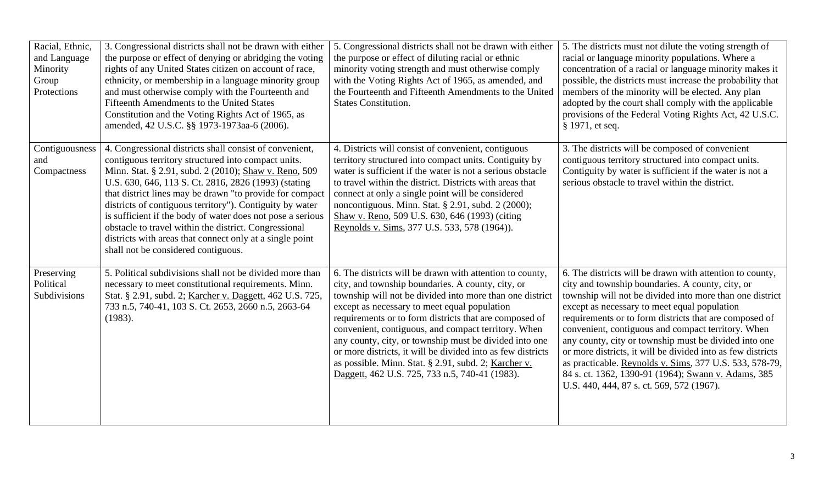| Racial, Ethnic,<br>and Language<br>Minority<br>Group<br>Protections | 3. Congressional districts shall not be drawn with either<br>the purpose or effect of denying or abridging the voting<br>rights of any United States citizen on account of race,<br>ethnicity, or membership in a language minority group<br>and must otherwise comply with the Fourteenth and<br><b>Fifteenth Amendments to the United States</b><br>Constitution and the Voting Rights Act of 1965, as<br>amended, 42 U.S.C. §§ 1973-1973aa-6 (2006).                                                                                                                           | 5. Congressional districts shall not be drawn with either<br>the purpose or effect of diluting racial or ethnic<br>minority voting strength and must otherwise comply<br>with the Voting Rights Act of 1965, as amended, and<br>the Fourteenth and Fifteenth Amendments to the United<br><b>States Constitution.</b>                                                                                                                                                                                                                                                          | 5. The districts must not dilute the voting strength of<br>racial or language minority populations. Where a<br>concentration of a racial or language minority makes it<br>possible, the districts must increase the probability that<br>members of the minority will be elected. Any plan<br>adopted by the court shall comply with the applicable<br>provisions of the Federal Voting Rights Act, 42 U.S.C.<br>§ 1971, et seq.                                                                                                                                                                                                 |
|---------------------------------------------------------------------|-----------------------------------------------------------------------------------------------------------------------------------------------------------------------------------------------------------------------------------------------------------------------------------------------------------------------------------------------------------------------------------------------------------------------------------------------------------------------------------------------------------------------------------------------------------------------------------|-------------------------------------------------------------------------------------------------------------------------------------------------------------------------------------------------------------------------------------------------------------------------------------------------------------------------------------------------------------------------------------------------------------------------------------------------------------------------------------------------------------------------------------------------------------------------------|---------------------------------------------------------------------------------------------------------------------------------------------------------------------------------------------------------------------------------------------------------------------------------------------------------------------------------------------------------------------------------------------------------------------------------------------------------------------------------------------------------------------------------------------------------------------------------------------------------------------------------|
| Contiguousness<br>and<br>Compactness                                | 4. Congressional districts shall consist of convenient,<br>contiguous territory structured into compact units.<br>Minn. Stat. § 2.91, subd. 2 (2010); Shaw v. Reno, 509<br>U.S. 630, 646, 113 S. Ct. 2816, 2826 (1993) (stating<br>that district lines may be drawn "to provide for compact<br>districts of contiguous territory"). Contiguity by water<br>is sufficient if the body of water does not pose a serious<br>obstacle to travel within the district. Congressional<br>districts with areas that connect only at a single point<br>shall not be considered contiguous. | 4. Districts will consist of convenient, contiguous<br>territory structured into compact units. Contiguity by<br>water is sufficient if the water is not a serious obstacle<br>to travel within the district. Districts with areas that<br>connect at only a single point will be considered<br>noncontiguous. Minn. Stat. $\S$ 2.91, subd. 2 (2000);<br>Shaw v. Reno, 509 U.S. 630, 646 (1993) (citing<br>Reynolds v. Sims, 377 U.S. 533, 578 (1964)).                                                                                                                       | 3. The districts will be composed of convenient<br>contiguous territory structured into compact units.<br>Contiguity by water is sufficient if the water is not a<br>serious obstacle to travel within the district.                                                                                                                                                                                                                                                                                                                                                                                                            |
| Preserving<br>Political<br>Subdivisions                             | 5. Political subdivisions shall not be divided more than<br>necessary to meet constitutional requirements. Minn.<br>Stat. § 2.91, subd. 2; Karcher v. Daggett, 462 U.S. 725,<br>733 n.5, 740-41, 103 S. Ct. 2653, 2660 n.5, 2663-64<br>(1983).                                                                                                                                                                                                                                                                                                                                    | 6. The districts will be drawn with attention to county,<br>city, and township boundaries. A county, city, or<br>township will not be divided into more than one district<br>except as necessary to meet equal population<br>requirements or to form districts that are composed of<br>convenient, contiguous, and compact territory. When<br>any county, city, or township must be divided into one<br>or more districts, it will be divided into as few districts<br>as possible. Minn. Stat. § 2.91, subd. 2; Karcher v.<br>Daggett, 462 U.S. 725, 733 n.5, 740-41 (1983). | 6. The districts will be drawn with attention to county,<br>city and township boundaries. A county, city, or<br>township will not be divided into more than one district<br>except as necessary to meet equal population<br>requirements or to form districts that are composed of<br>convenient, contiguous and compact territory. When<br>any county, city or township must be divided into one<br>or more districts, it will be divided into as few districts<br>as practicable. Reynolds v. Sims, 377 U.S. 533, 578-79,<br>84 s. ct. 1362, 1390-91 (1964); Swann v. Adams, 385<br>U.S. 440, 444, 87 s. ct. 569, 572 (1967). |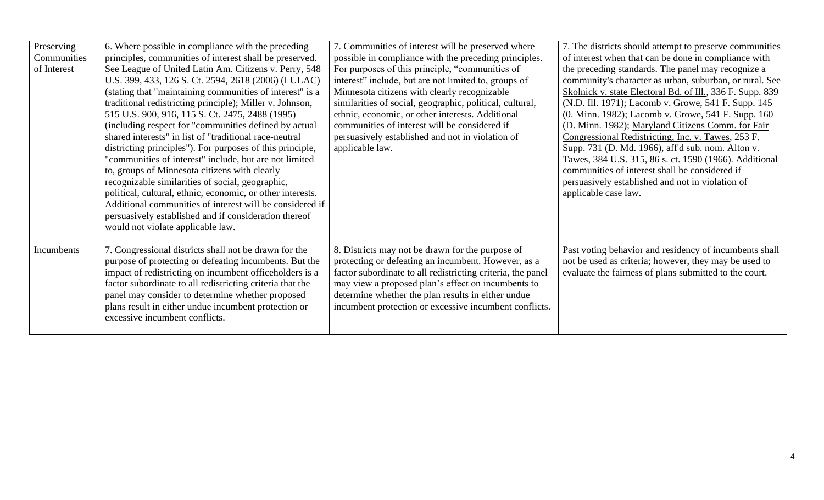| Preserving<br>Communities<br>of Interest | 6. Where possible in compliance with the preceding<br>principles, communities of interest shall be preserved.<br>See League of United Latin Am. Citizens v. Perry, 548<br>U.S. 399, 433, 126 S. Ct. 2594, 2618 (2006) (LULAC)<br>(stating that "maintaining communities of interest" is a<br>traditional redistricting principle); Miller v. Johnson,<br>515 U.S. 900, 916, 115 S. Ct. 2475, 2488 (1995)<br>(including respect for "communities defined by actual<br>shared interests" in list of "traditional race-neutral<br>districting principles"). For purposes of this principle,<br>"communities of interest" include, but are not limited<br>to, groups of Minnesota citizens with clearly<br>recognizable similarities of social, geographic,<br>political, cultural, ethnic, economic, or other interests.<br>Additional communities of interest will be considered if | 7. Communities of interest will be preserved where<br>possible in compliance with the preceding principles.<br>For purposes of this principle, "communities of<br>interest" include, but are not limited to, groups of<br>Minnesota citizens with clearly recognizable<br>similarities of social, geographic, political, cultural,<br>ethnic, economic, or other interests. Additional<br>communities of interest will be considered if<br>persuasively established and not in violation of<br>applicable law. | 7. The districts should attempt to preserve communities<br>of interest when that can be done in compliance with<br>the preceding standards. The panel may recognize a<br>community's character as urban, suburban, or rural. See<br>Skolnick v. state Electoral Bd. of Ill., 336 F. Supp. 839<br>(N.D. Ill. 1971); Lacomb v. Growe, 541 F. Supp. 145<br>(0. Minn. 1982); Lacomb v. Growe, 541 F. Supp. 160<br>(D. Minn. 1982); Maryland Citizens Comm. for Fair<br>Congressional Redistricting, Inc. v. Tawes, 253 F.<br>Supp. 731 (D. Md. 1966), aff'd sub. nom. Alton v.<br>Tawes, 384 U.S. 315, 86 s. ct. 1590 (1966). Additional<br>communities of interest shall be considered if<br>persuasively established and not in violation of<br>applicable case law. |
|------------------------------------------|-----------------------------------------------------------------------------------------------------------------------------------------------------------------------------------------------------------------------------------------------------------------------------------------------------------------------------------------------------------------------------------------------------------------------------------------------------------------------------------------------------------------------------------------------------------------------------------------------------------------------------------------------------------------------------------------------------------------------------------------------------------------------------------------------------------------------------------------------------------------------------------|----------------------------------------------------------------------------------------------------------------------------------------------------------------------------------------------------------------------------------------------------------------------------------------------------------------------------------------------------------------------------------------------------------------------------------------------------------------------------------------------------------------|--------------------------------------------------------------------------------------------------------------------------------------------------------------------------------------------------------------------------------------------------------------------------------------------------------------------------------------------------------------------------------------------------------------------------------------------------------------------------------------------------------------------------------------------------------------------------------------------------------------------------------------------------------------------------------------------------------------------------------------------------------------------|
| Incumbents                               | persuasively established and if consideration thereof<br>would not violate applicable law.<br>7. Congressional districts shall not be drawn for the<br>purpose of protecting or defeating incumbents. But the<br>impact of redistricting on incumbent officeholders is a<br>factor subordinate to all redistricting criteria that the<br>panel may consider to determine whether proposed<br>plans result in either undue incumbent protection or<br>excessive incumbent conflicts.                                                                                                                                                                                                                                                                                                                                                                                               | 8. Districts may not be drawn for the purpose of<br>protecting or defeating an incumbent. However, as a<br>factor subordinate to all redistricting criteria, the panel<br>may view a proposed plan's effect on incumbents to<br>determine whether the plan results in either undue<br>incumbent protection or excessive incumbent conflicts.                                                                                                                                                                   | Past voting behavior and residency of incumbents shall<br>not be used as criteria; however, they may be used to<br>evaluate the fairness of plans submitted to the court.                                                                                                                                                                                                                                                                                                                                                                                                                                                                                                                                                                                          |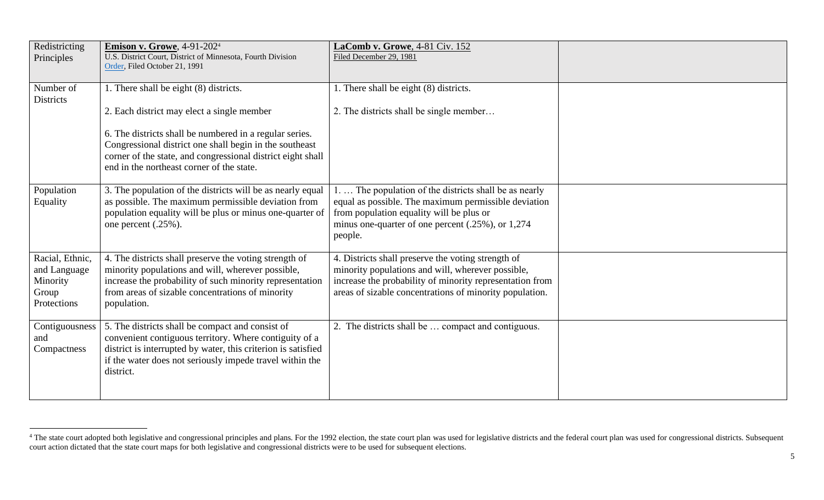| Redistricting<br>Principles                                         | <b>Emison v. Growe</b> , 4-91-202 <sup>4</sup><br>U.S. District Court, District of Minnesota, Fourth Division<br>Order, Filed October 21, 1991                                                                                                                                                                         | LaComb v. Growe, 4-81 Civ. 152<br>Filed December 29, 1981                                                                                                                                                                      |  |
|---------------------------------------------------------------------|------------------------------------------------------------------------------------------------------------------------------------------------------------------------------------------------------------------------------------------------------------------------------------------------------------------------|--------------------------------------------------------------------------------------------------------------------------------------------------------------------------------------------------------------------------------|--|
| Number of<br><b>Districts</b>                                       | 1. There shall be eight (8) districts.<br>2. Each district may elect a single member<br>6. The districts shall be numbered in a regular series.<br>Congressional district one shall begin in the southeast<br>corner of the state, and congressional district eight shall<br>end in the northeast corner of the state. | 1. There shall be eight (8) districts.<br>2. The districts shall be single member                                                                                                                                              |  |
| Population<br>Equality                                              | 3. The population of the districts will be as nearly equal<br>as possible. The maximum permissible deviation from<br>population equality will be plus or minus one-quarter of<br>one percent (.25%).                                                                                                                   | The population of the districts shall be as nearly<br>equal as possible. The maximum permissible deviation<br>from population equality will be plus or<br>minus one-quarter of one percent (.25%), or 1,274<br>people.         |  |
| Racial, Ethnic,<br>and Language<br>Minority<br>Group<br>Protections | 4. The districts shall preserve the voting strength of<br>minority populations and will, wherever possible,<br>increase the probability of such minority representation<br>from areas of sizable concentrations of minority<br>population.                                                                             | 4. Districts shall preserve the voting strength of<br>minority populations and will, wherever possible,<br>increase the probability of minority representation from<br>areas of sizable concentrations of minority population. |  |
| Contiguousness<br>and<br>Compactness                                | 5. The districts shall be compact and consist of<br>convenient contiguous territory. Where contiguity of a<br>district is interrupted by water, this criterion is satisfied<br>if the water does not seriously impede travel within the<br>district.                                                                   | 2. The districts shall be  compact and contiguous.                                                                                                                                                                             |  |

<sup>&</sup>lt;sup>4</sup> The state court adopted both legislative and congressional principles and plans. For the 1992 election, the state court plan was used for legislative districts and the federal court plan was used for congressional dist court action dictated that the state court maps for both legislative and congressional districts were to be used for subsequent elections.